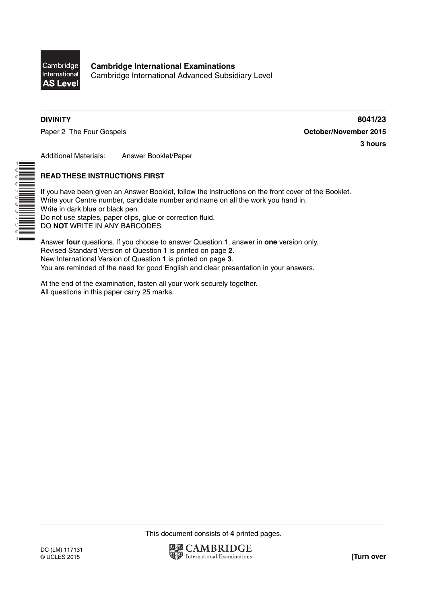

**Cambridge International Examinations** Cambridge International Advanced Subsidiary Level

\*8867083758\*

**DIVINITY 8041/23** Paper 2 The Four Gospels **Container and Container 2015 October/November 2015 3 hours**

Additional Materials: Answer Booklet/Paper

## **READ THESE INSTRUCTIONS FIRST**

If you have been given an Answer Booklet, follow the instructions on the front cover of the Booklet. Write your Centre number, candidate number and name on all the work you hand in. Write in dark blue or black pen. Do not use staples, paper clips, glue or correction fluid. DO **NOT** WRITE IN ANY BARCODES.

Answer **four** questions. If you choose to answer Question 1, answer in **one** version only. Revised Standard Version of Question **1** is printed on page **2**. New International Version of Question **1** is printed on page **3**. You are reminded of the need for good English and clear presentation in your answers.

At the end of the examination, fasten all your work securely together. All questions in this paper carry 25 marks.

This document consists of **4** printed pages.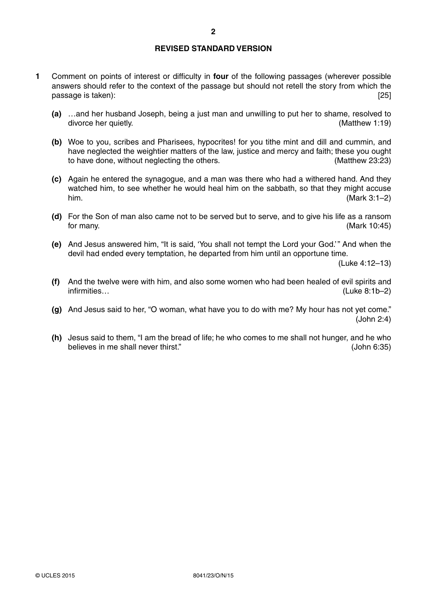## **REVISED STANDARD VERSION**

- **1** Comment on points of interest or difficulty in **four** of the following passages (wherever possible answers should refer to the context of the passage but should not retell the story from which the passage is taken): [25] passage is taken):
	- **(a)** …and her husband Joseph, being a just man and unwilling to put her to shame, resolved to divorce her quietly. (Matthew 1:19)
	- **(b)** Woe to you, scribes and Pharisees, hypocrites! for you tithe mint and dill and cummin, and have neglected the weightier matters of the law, justice and mercy and faith; these you ought to have done, without neglecting the others. (Matthew 23:23) to have done, without neglecting the others.
	- **(c)** Again he entered the synagogue, and a man was there who had a withered hand. And they watched him, to see whether he would heal him on the sabbath, so that they might accuse him. (Mark 3:1–2)
	- **(d)** For the Son of man also came not to be served but to serve, and to give his life as a ransom for many. (Mark 10:45)
	- **(e)** And Jesus answered him, "It is said, 'You shall not tempt the Lord your God.' " And when the devil had ended every temptation, he departed from him until an opportune time.

(Luke 4:12–13)

- **(f)** And the twelve were with him, and also some women who had been healed of evil spirits and infirmities… (Luke 8:1b–2)
- **(g)** And Jesus said to her, "O woman, what have you to do with me? My hour has not yet come." (John 2:4)
- **(h)** Jesus said to them, "I am the bread of life; he who comes to me shall not hunger, and he who believes in me shall never thirst." 
(John 6:35)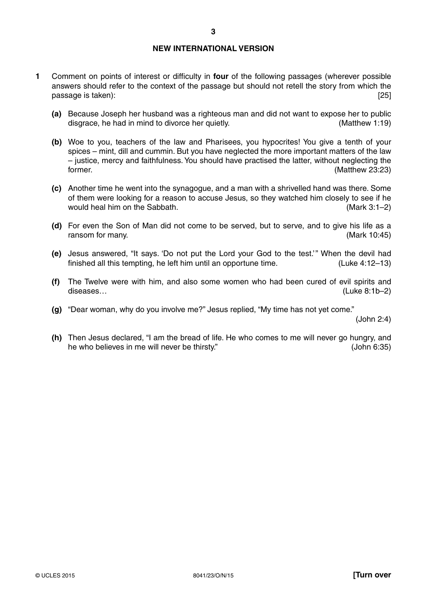## **NEW INTERNATIONAL VERSION**

- **1** Comment on points of interest or difficulty in **four** of the following passages (wherever possible answers should refer to the context of the passage but should not retell the story from which the passage is taken): [25] passage is taken):
	- **(a)** Because Joseph her husband was a righteous man and did not want to expose her to public disgrace, he had in mind to divorce her quietly. (Matthew 1:19)
	- **(b)** Woe to you, teachers of the law and Pharisees, you hypocrites! You give a tenth of your spices – mint, dill and cummin. But you have neglected the more important matters of the law – justice, mercy and faithfulness. You should have practised the latter, without neglecting the former. (Matthew 23:23)
	- **(c)** Another time he went into the synagogue, and a man with a shrivelled hand was there. Some of them were looking for a reason to accuse Jesus, so they watched him closely to see if he would heal him on the Sabbath. (Mark 3:1–2)
	- **(d)** For even the Son of Man did not come to be served, but to serve, and to give his life as a ransom for many. (Mark 10:45)
	- **(e)** Jesus answered, "It says. 'Do not put the Lord your God to the test.' " When the devil had finished all this tempting, he left him until an opportune time. (Luke 4:12–13)
	- **(f)** The Twelve were with him, and also some women who had been cured of evil spirits and diseases… (Luke 8:1b–2)
	- **(g)** "Dear woman, why do you involve me?" Jesus replied, "My time has not yet come."

(John 2:4)

 **(h)** Then Jesus declared, "I am the bread of life. He who comes to me will never go hungry, and he who believes in me will never be thirsty." (John 6:35)